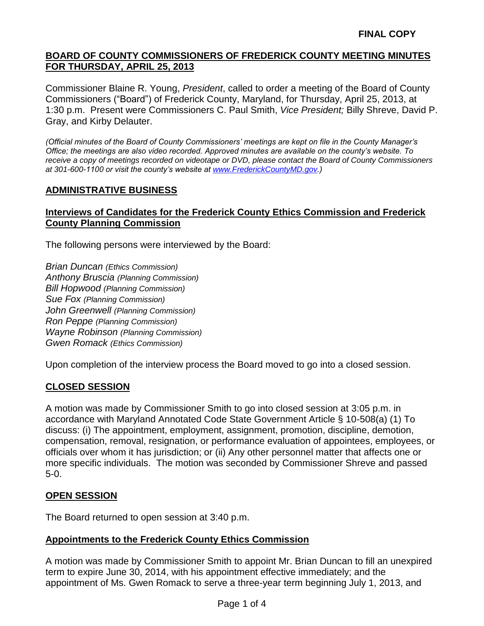Commissioner Blaine R. Young, *President*, called to order a meeting of the Board of County Commissioners ("Board") of Frederick County, Maryland, for Thursday, April 25, 2013, at 1:30 p.m. Present were Commissioners C. Paul Smith, *Vice President;* Billy Shreve, David P. Gray, and Kirby Delauter.

*(Official minutes of the Board of County Commissioners' meetings are kept on file in the County Manager's Office; the meetings are also video recorded. Approved minutes are available on the county's website. To receive a copy of meetings recorded on videotape or DVD, please contact the Board of County Commissioners at 301-600-1100 or visit the county's website at [www.FrederickCountyMD.gov.](http://www.frederickcountymd.gov/))*

## **ADMINISTRATIVE BUSINESS**

## **Interviews of Candidates for the Frederick County Ethics Commission and Frederick County Planning Commission**

The following persons were interviewed by the Board:

*Brian Duncan (Ethics Commission) Anthony Bruscia (Planning Commission) Bill Hopwood (Planning Commission) Sue Fox (Planning Commission) John Greenwell (Planning Commission) Ron Peppe (Planning Commission) Wayne Robinson (Planning Commission) Gwen Romack (Ethics Commission)*

Upon completion of the interview process the Board moved to go into a closed session.

#### **CLOSED SESSION**

A motion was made by Commissioner Smith to go into closed session at 3:05 p.m. in accordance with Maryland Annotated Code State Government Article § 10-508(a) (1) To discuss: (i) The appointment, employment, assignment, promotion, discipline, demotion, compensation, removal, resignation, or performance evaluation of appointees, employees, or officials over whom it has jurisdiction; or (ii) Any other personnel matter that affects one or more specific individuals. The motion was seconded by Commissioner Shreve and passed 5-0.

#### **OPEN SESSION**

The Board returned to open session at 3:40 p.m.

#### **Appointments to the Frederick County Ethics Commission**

A motion was made by Commissioner Smith to appoint Mr. Brian Duncan to fill an unexpired term to expire June 30, 2014, with his appointment effective immediately; and the appointment of Ms. Gwen Romack to serve a three-year term beginning July 1, 2013, and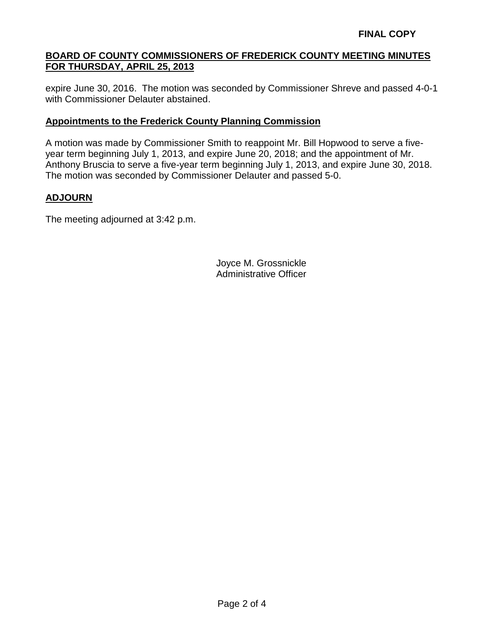expire June 30, 2016. The motion was seconded by Commissioner Shreve and passed 4-0-1 with Commissioner Delauter abstained.

## **Appointments to the Frederick County Planning Commission**

A motion was made by Commissioner Smith to reappoint Mr. Bill Hopwood to serve a fiveyear term beginning July 1, 2013, and expire June 20, 2018; and the appointment of Mr. Anthony Bruscia to serve a five-year term beginning July 1, 2013, and expire June 30, 2018. The motion was seconded by Commissioner Delauter and passed 5-0.

# **ADJOURN**

The meeting adjourned at 3:42 p.m.

Joyce M. Grossnickle Administrative Officer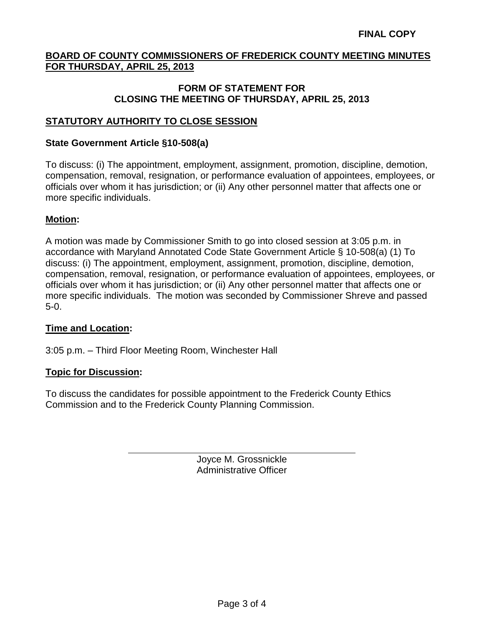#### **FORM OF STATEMENT FOR CLOSING THE MEETING OF THURSDAY, APRIL 25, 2013**

# **STATUTORY AUTHORITY TO CLOSE SESSION**

### **State Government Article §10-508(a)**

To discuss: (i) The appointment, employment, assignment, promotion, discipline, demotion, compensation, removal, resignation, or performance evaluation of appointees, employees, or officials over whom it has jurisdiction; or (ii) Any other personnel matter that affects one or more specific individuals.

## **Motion:**

A motion was made by Commissioner Smith to go into closed session at 3:05 p.m. in accordance with Maryland Annotated Code State Government Article § 10-508(a) (1) To discuss: (i) The appointment, employment, assignment, promotion, discipline, demotion, compensation, removal, resignation, or performance evaluation of appointees, employees, or officials over whom it has jurisdiction; or (ii) Any other personnel matter that affects one or more specific individuals. The motion was seconded by Commissioner Shreve and passed 5-0.

#### **Time and Location:**

3:05 p.m. – Third Floor Meeting Room, Winchester Hall

#### **Topic for Discussion:**

To discuss the candidates for possible appointment to the Frederick County Ethics Commission and to the Frederick County Planning Commission.

> Joyce M. Grossnickle Administrative Officer